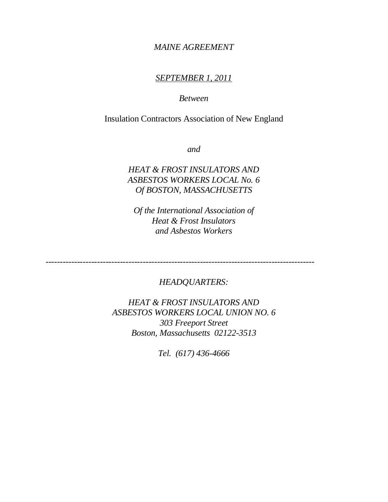## *MAINE AGREEMENT*

## *SEPTEMBER 1, 2011*

## *Between*

# Insulation Contractors Association of New England

*and*

# *HEAT & FROST INSULATORS AND ASBESTOS WORKERS LOCAL No. 6 Of BOSTON, MASSACHUSETTS*

*Of the International Association of Heat & Frost Insulators and Asbestos Workers*

*----------------------------------------------------------------------------------------------*

## *HEADQUARTERS:*

*HEAT & FROST INSULATORS AND ASBESTOS WORKERS LOCAL UNION NO. 6 303 Freeport Street Boston, Massachusetts 02122-3513*

*Tel. (617) 436-4666*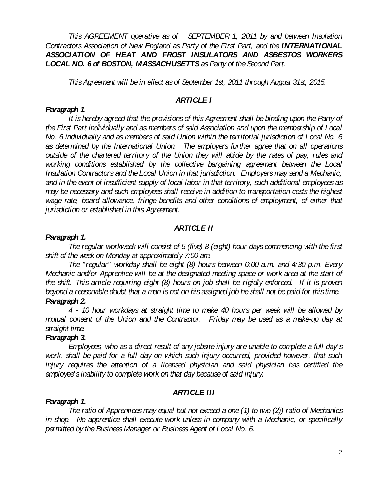*This AGREEMENT operative as of SEPTEMBER 1, 2011 by and between Insulation Contractors Association of New England as Party of the First Part, and the INTERNATIONAL ASSOCIATION OF HEAT AND FROST INSULATORS AND ASBESTOS WORKERS LOCAL NO. 6 of BOSTON, MASSACHUSETTS as Party of the Second Part.*

*This Agreement will be in effect as of September 1st, 2011 through August 31st, 2015.*

## *ARTICLE I*

#### *Paragraph 1.*

It is hereby agreed that the provisions of this Agreement shall be binding upon the Party of *the First Part individually and as members of said Association and upon the membership of Local No. 6 individually and as members of said Union within the territorial jurisdiction of Local No. 6 as determined by the International Union. The employers further agree that on all operations outside of the chartered territory of the Union they will abide by the rates of pay, rules and working conditions established by the collective bargaining agreement between the Local Insulation Contractors and the Local Union in that jurisdiction. Employers may send a Mechanic, and in the event of insufficient supply of local labor in that territory, such additional employees as may be necessary and such employees shall receive in addition to transportation costs the highest wage rate, board allowance, fringe benefits and other conditions of employment, of either that jurisdiction or established in this Agreement.*

## *ARTICLE II*

#### *Paragraph 1.*

*The regular workweek will consist of 5 (five) 8 (eight) hour days commencing with the first shift of the week on Monday at approximately 7:00 am.*

*The "regular" workday shall be eight (8) hours between 6:00 a.m. and 4:30 p.m. Every Mechanic and/or Apprentice will be at the designated meeting space or work area at the start of the shift. This article requiring eight (8) hours on job shall be rigidly enforced. If it is proven beyond a reasonable doubt that a man is not on his assigned job he shall not be paid for this time. Paragraph 2.*

*4 - 10 hour workdays at straight time to make 40 hours per week will be allowed by mutual consent of the Union and the Contractor. Friday may be used as a make-up day at straight time.*

#### *Paragraph 3.*

*Employees, who as a direct result of any jobsite injury are unable to complete a full day's work, shall be paid for a full day on which such injury occurred, provided however, that such*  injury requires the attention of a licensed physician and said physician has certified the *employee's inability to complete work on that day because of said injury.*

## *ARTICLE III*

#### *Paragraph 1.*

*The ratio of Apprentices may equal but not exceed a one (1) to two (2)) ratio of Mechanics in shop. No apprentice shall execute work unless in company with a Mechanic, or specifically permitted by the Business Manager or Business Agent of Local No. 6.*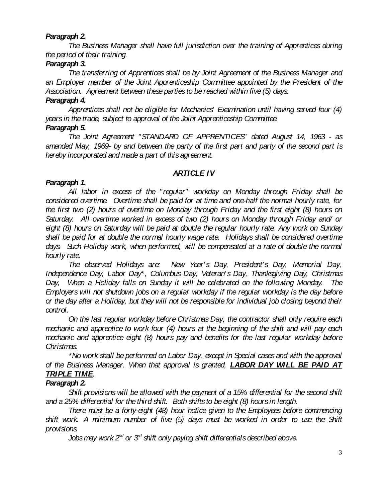### *Paragraph 2.*

*The Business Manager shall have full jurisdiction over the training of Apprentices during the period of their training.*

### *Paragraph 3.*

*The transferring of Apprentices shall be by Joint Agreement of the Business Manager and an Employer member of the Joint Apprenticeship Committee appointed by the President of the Association. Agreement between these parties to be reached within five (5) days.*

#### *Paragraph 4.*

*Apprentices shall not be eligible for Mechanics' Examination until having served four (4) years in the trade, subject to approval of the Joint Apprenticeship Committee. Paragraph 5.*

*The Joint Agreement "STANDARD OF APPRENTICES" dated August 14, 1963 - as amended May, 1969- by and between the party of the first part and party of the second part is hereby incorporated and made a part of this agreement.*

## *ARTICLE IV*

## *Paragraph 1.*

*All labor in excess of the "regular" workday on Monday through Friday shall be considered overtime. Overtime shall be paid for at time and one-half the normal hourly rate, for the first two (2) hours of overtime on Monday through Friday and the first eight (8) hours on Saturday. All overtime worked in excess of two (2) hours on Monday through Friday and/ or eight (8) hours on Saturday will be paid at double the regular hourly rate. Any work on Sunday shall be paid for at double the normal hourly wage rate. Holidays shall be considered overtime days. Such Holiday work, when performed, will be compensated at a rate of double the normal hourly rate.*

*The observed Holidays are: New Year' s Day, President's Day, Memorial Day, Independence Day, Labor Day\*, Columbus Day, Veteran' s Day, Thanksgiving Day, Christmas Day, When a Holiday falls on Sunday it will be celebrated on the following Monday. The Employers will not shutdown jobs on a regular workday if the regular workday is the day before or the day after a Holiday, but they will not be responsible for individual job closing beyond their control.*

*On the last regular workday before Christmas Day, the contractor shall only require each mechanic and apprentice to work four (4) hours at the beginning of the shift and will pay each mechanic and apprentice eight (8) hours pay and benefits for the last regular workday before Christmas.*

*\*No work shall be performed on Labor Day, except in Special cases and with the approval of the Business Manager. When that approval is granted, LABOR DAY WILL BE PAID AT TRIPLE TIME.*

## *Paragraph 2.*

*Shift provisions will be allowed with the payment of a 15% differential for the second shift and a 25% differential for the third shift. Both shifts to be eight (8) hours in length.*

*There must be a forty-eight (48) hour notice given to the Employees before commencing shift work. A minimum number of five (5) days must be worked in order to use the Shift provisions.*

*Jobs may work 2nd or 3rd shift only paying shift differentials described above.*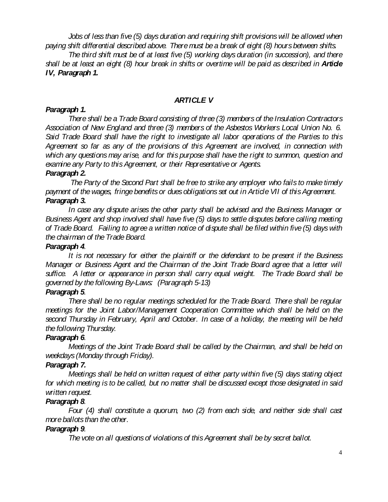*Jobs of less than five (5) days duration and requiring shift provisions will be allowed when paying shift differential described above. There must be a break of eight (8) hours between shifts.* 

*The third shift must be of at least five (5) working days duration (in succession), and there shall be at least an eight (8) hour break in shifts or overtime will be paid as described in Article IV, Paragraph 1.*

## *ARTICLE V*

#### *Paragraph 1.*

*There shall be a Trade Board consisting of three (3) members of the Insulation Contractors Association of New England and three (3) members of the Asbestos Workers Local Union No. 6. Said Trade Board shall have the right to investigate all labor operations of the Parties to this Agreement so far as any of the provisions of this Agreement are involved, in connection with which any questions may arise, and for this purpose shall have the right to summon, question and examine any Party to this Agreement, or their Representative or Agents.*

#### *Paragraph 2.*

*The Party of the Second Part shall be free to strike any employer who fails to make timely payment of the wages, fringe benefits or dues obligations set out in Article VII of this Agreement. Paragraph 3.*

*In case any dispute arises the other party shall be advised and the Business Manager or Business Agent and shop involved shall have five (5) days to settle disputes before calling meeting of Trade Board. Failing to agree a written notice of dispute shall be filed within five (5) days with the chairman of the Trade Board.*

#### *Paragraph 4.*

*It is not necessary for either the plaintiff or the defendant to be present if the Business Manager or Business Agent and the Chairman of the Joint Trade Board agree that a letter will suffice. A letter or appearance in person shall carry equal weight. The Trade Board shall be governed by the following By-Laws: (Paragraph 5-13)*

## *Paragraph 5.*

*There shall be no regular meetings scheduled for the Trade Board. There shall be regular*  meetings for the Joint Labor/Management Cooperation Committee which shall be held on the *second Thursday in February, April and October. In case of a holiday, the meeting will be held the following Thursday.*

#### *Paragraph 6.*

*Meetings of the Joint Trade Board shall be called by the Chairman, and shall be held on weekdays (Monday through Friday).*

## *Paragraph 7.*

*Meetings shall be held on written request of either party within five (5) days stating object for which meeting is to be called, but no matter shall be discussed except those designated in said written request.*

#### *Paragraph 8.*

*Four (4) shall constitute a quorum, two (2) from each side, and neither side shall cast more ballots than the other.*

## *Paragraph 9.*

*The vote on all questions of violations of this Agreement shall be by secret ballot.*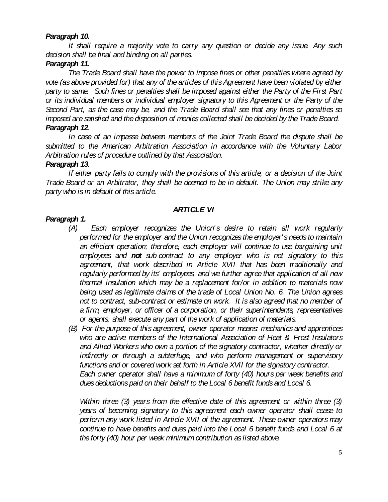## *Paragraph 10.*

*It shall require a majority vote to carry any question or decide any issue. Any such decision shall be final and binding on all parties.*

### *Paragraph 11.*

*The Trade Board shall have the power to impose fines or other penalties where agreed by vote (as above provided for) that any of the articles of this Agreement have been violated by either party to same. Such fines or penalties shall be imposed against either the Party of the First Part or its individual members or individual employer signatory to this Agreement or the Party of the Second Part, as the case may be, and the Trade Board shall see that any fines or penalties so imposed are satisfied and the disposition of monies collected shall be decided by the Trade Board. Paragraph 12.*

*In case of an impasse between members of the Joint Trade Board the dispute shall be submitted to the American Arbitration Association in accordance with the Voluntary Labor Arbitration rules of procedure outlined by that Association.*

#### *Paragraph 13.*

*If either party fails to comply with the provisions of this article, or a decision of the Joint Trade Board or an Arbitrator, they shall be deemed to be in default. The Union may strike any party who is in default of this article.*

#### *ARTICLE VI*

#### *Paragraph 1.*

- *(A) Each employer recognizes the Union' s desire to retain all work regularly performed for the employer and the Union recognizes the employer's needs to maintain*  an efficient operation; therefore, each employer will continue to use bargaining unit *employees and not sub-contract to any employer who is not signatory to this agreement, that work described in Article XVII that has been traditionally and regularly performed by its' employees, and we further agree that application of all new thermal insulation which may be a replacement for/or in addition to materials now being used as legitimate claims of the trade of Local Union No. 6. The Union agrees not to contract, sub-contract or estimate on work. It is also agreed that no member of a firm, employer, or officer of a corporation, or their superintendents, representatives or agents, shall execute any part of the work of application of materials.*
- *(B) For the purpose of this agreement, owner operator means: mechanics and apprentices who are active members of the International Association of Heat & Frost Insulators and Allied Workers who own a portion of the signatory contractor, whether directly or indirectly or through a subterfuge, and who perform management or supervisory functions and or covered work set forth in Article XVII for the signatory contractor. Each owner operator shall have a minimum of forty (40) hours per week benefits and dues deductions paid on their behalf to the Local 6 benefit funds and Local 6.*

*Within three (3) years from the effective date of this agreement or within three (3) years of becoming signatory to this agreement each owner operator shall cease to perform any work listed in Article XVII of the agreement. These owner operators may continue to have benefits and dues paid into the Local 6 benefit funds and Local 6 at the forty (40) hour per week minimum contribution as listed above.*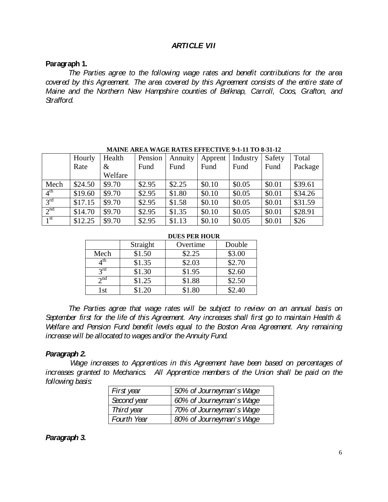## *ARTICLE VII*

#### **Paragraph 1.**

*The Parties agree to the following wage rates and benefit contributions for the area covered by this Agreement. The area covered by this Agreement consists of the entire state of Maine and the Northern New Hampshire counties of Belknap, Carroll, Coos, Grafton, and Strafford.*

|                 | Hourly  | Health  | Pension | Annuity | Apprent | Industry | Safety | Total   |
|-----------------|---------|---------|---------|---------|---------|----------|--------|---------|
|                 | Rate    | $\&$    | Fund    | Fund    | Fund    | Fund     | Fund   | Package |
|                 |         | Welfare |         |         |         |          |        |         |
| Mech            | \$24.50 | \$9.70  | \$2.95  | \$2.25  | \$0.10  | \$0.05   | \$0.01 | \$39.61 |
| 4 <sup>th</sup> | \$19.60 | \$9.70  | \$2.95  | \$1.80  | \$0.10  | \$0.05   | \$0.01 | \$34.26 |
| 3 <sup>rd</sup> | \$17.15 | \$9.70  | \$2.95  | \$1.58  | \$0.10  | \$0.05   | \$0.01 | \$31.59 |
| 2 <sup>nd</sup> | \$14.70 | \$9.70  | \$2.95  | \$1.35  | \$0.10  | \$0.05   | \$0.01 | \$28.91 |
| 1 <sup>st</sup> | \$12.25 | \$9.70  | \$2.95  | \$1.13  | \$0.10  | \$0.05   | \$0.01 | \$26    |

**MAINE AREA WAGE RATES EFFECTIVE 9-1-11 TO 8-31-12**

|                 |          | DULS FEK HOUK |        |
|-----------------|----------|---------------|--------|
|                 | Straight | Overtime      | Double |
| Mech            | \$1.50   | \$2.25        | \$3.00 |
| 4 <sup>th</sup> | \$1.35   | \$2.03        | \$2.70 |
| $2^{\text{rd}}$ | \$1.30   | \$1.95        | \$2.60 |
| $2^{nd}$        | \$1.25   | \$1.88        | \$2.50 |
| l st            | \$1.20   | \$1.80        | \$2.40 |

#### **DUES PER HOUR**

*The Parties agree that wage rates will be subject to review on an annual basis on September first for the life of this Agreement. Any increases shall first go to maintain Health & Welfare and Pension Fund benefit levels equal to the Boston Area Agreement. Any remaining increase will be allocated to wages and/or the Annuity Fund.*

#### *Paragraph 2.*

*Wage increases to Apprentices in this Agreement have been based on percentages of increases granted to Mechanics. All Apprentice members of the Union shall be paid on the following basis:*

| First year  | 50% of Journeyman's Wage |  |  |
|-------------|--------------------------|--|--|
| Second year | 60% of Journeyman's Wage |  |  |
| Third year  | 70% of Journeyman's Wage |  |  |
| Fourth Year | 80% of Journeyman's Wage |  |  |

#### *Paragraph 3.*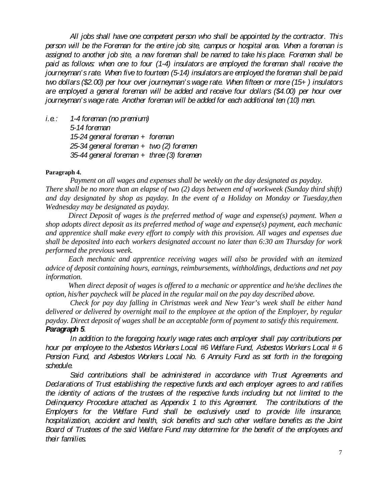*All jobs shall have one competent person who shall be appointed by the contractor. This person will be the Foreman for the entire job site, campus or hospital area. When a foreman is assigned to another job site, a new foreman shall be named to take his place. Foremen shall be paid as follows: when one to four (1-4) insulators are employed the foreman shall receive the journeyman's rate. When five to fourteen (5-14) insulators are employed the foreman shall be paid two dollars (\$2.00) per hour over journeyman's wage rate. When fifteen or more (15+ ) insulators are employed a general foreman will be added and receive four dollars (\$4.00) per hour over journeyman's wage rate. Another foreman will be added for each additional ten (10) men.*

*i.e.: 1-4 foreman (no premium) 5-14 foreman 15-24 general foreman + foreman 25-34 general foreman + two (2) foremen 35-44 general foreman + three (3) foremen*

#### **Paragraph 4.**

*Payment on all wages and expenses shall be weekly on the day designated as payday. There shall be no more than an elapse of two (2) days between end of workweek (Sunday third shift) and day designated by shop as payday. In the event of a Holiday on Monday or Tuesday,then Wednesday may be designated as payday.*

*Direct Deposit of wages is the preferred method of wage and expense(s) payment. When a shop adopts direct deposit as its preferred method of wage and expense(s) payment, each mechanic and apprentice shall make every effort to comply with this provision. All wages and expenses due shall be deposited into each workers designated account no later than 6:30 am Thursday for work performed the previous week.* 

*Each mechanic and apprentice receiving wages will also be provided with an itemized advice of deposit containing hours, earnings, reimbursements, withholdings, deductions and net pay information.*

When direct deposit of wages is offered to a mechanic or apprentice and he/she declines the *option, his/her paycheck will be placed in the regular mail on the pay day described above.*

*Check for pay day falling in Christmas week and New Year's week shall be either hand delivered or delivered by overnight mail to the employee at the option of the Employer, by regular payday. Direct deposit of wages shall be an acceptable form of payment to satisfy this requirement.*

#### *Paragraph 5.*

*In addition to the foregoing hourly wage rates each employer shall pay contributions per hour per employee to the Asbestos Workers Local #6 Welfare Fund, Asbestos Workers Local # 6 Pension Fund, and Asbestos Workers Local No. 6 Annuity Fund as set forth in the foregoing schedule.*

*Said contributions shall be administered in accordance with Trust Agreements and Declarations of Trust establishing the respective funds and each employer agrees to and ratifies the identity of actions of the trustees of the respective funds including but not limited to the Delinquency Procedure attached as Appendix 1 to this Agreement. The contributions of the Employers for the Welfare Fund shall be exclusively used to provide life insurance, hospitalization, accident and health, sick benefits and such other welfare benefits as the Joint Board of Trustees of the said Welfare Fund may determine for the benefit of the employees and their families.*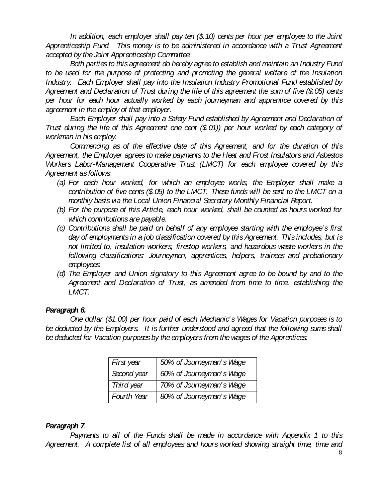*In addition, each employer shall pay ten (\$.10) cents per hour per employee to the Joint Apprenticeship Fund. This money is to be administered in accordance with a Trust Agreement accepted by the Joint Apprenticeship Committee.*

*Both parties to this agreement do hereby agree to establish and maintain an Industry Fund to be used for the purpose of protecting and promoting the general welfare of the Insulation Industry. Each Employer shall pay into the Insulation Industry Promotional Fund established by Agreement and Declaration of Trust during the life of this agreement the sum of five (\$.05) cents per hour for each hour actually worked by each journeyman and apprentice covered by this agreement in the employ of that employer.*

*Each Employer shall pay into a Safety Fund established by Agreement and Declaration of Trust during the life of this Agreement one cent (\$.01)) per hour worked by each category of workman in his employ.*

*Commencing as of the effective date of this Agreement, and for the duration of this Agreement, the Employer agrees to make payments to the Heat and Frost Insulators and Asbestos Workers Labor-Management Cooperative Trust (LMCT) for each employee covered by this Agreement as follows:*

- *(a) For each hour worked, for which an employee works, the Employer shall make a contribution of five cents (\$.05) to the LMCT. These funds will be sent to the LMCT on a monthly basis via the Local Union Financial Secretary Monthly Financial Report.*
- *(b) For the purpose of this Article, each hour worked, shall be counted as hours worked for which contributions are payable.*
- *(c) Contributions shall be paid on behalf of any employee starting with the employee's first day of employments in a job classification covered by this Agreement. This includes, but is not limited to, insulation workers, firestop workers, and hazardous waste workers in the following classifications: Journeymen, apprentices, helpers, trainees and probationary employees.*
- *(d) The Employer and Union signatory to this Agreement agree to be bound by and to the Agreement and Declaration of Trust, as amended from time to time, establishing the LMCT.*

## *Paragraph 6.*

*One dollar (\$1.00) per hour paid of each Mechanic's Wages for Vacation purposes is to be deducted by the Employers. It is further understood and agreed that the following sums shall be deducted for Vacation purposes by the employers from the wages of the Apprentices:*

| First year  | 50% of Journeyman's Wage |  |  |
|-------------|--------------------------|--|--|
| Second year | 60% of Journeyman's Wage |  |  |
| Third year  | 70% of Journeyman's Wage |  |  |
| Fourth Year | 80% of Journeyman's Wage |  |  |

## *Paragraph 7.*

*Payments to all of the Funds shall be made in accordance with Appendix 1 to this Agreement. A complete list of all employees and hours worked showing straight time, time and*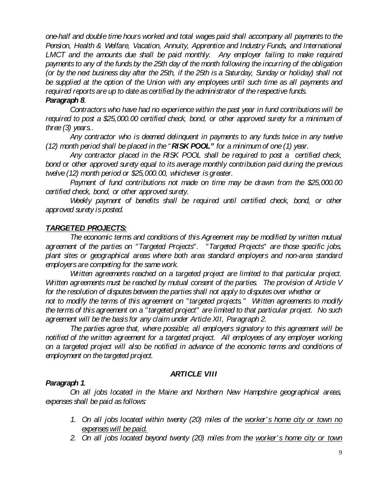*one-half and double time hours worked and total wages paid shall accompany all payments to the Pension, Health & Welfare, Vacation, Annuity, Apprentice and Industry Funds, and International*  LMCT and the amounts due shall be paid monthly. Any employer failing to make required *payments to any of the funds by the 25th day of the month following the incurring of the obligation (or by the next business day after the 25th, if the 25th is a Saturday, Sunday or holiday) shall not*  be supplied at the option of the Union with any employees until such time as all payments and *required reports are up to date as certified by the administrator of the respective funds.*

#### *Paragraph 8.*

*Contractors who have had no experience within the past year in fund contributions will be required to post a \$25,000.00 certified check, bond, or other approved surety for a minimum of three (3) years..*

*Any contractor who is deemed delinquent in payments to any funds twice in any twelve (12) month period shall be placed in the " RISK POOL" for a minimum of one (1) year.*

*Any contractor placed in the RISK POOL shall be required to post a certified check, bond or other approved surety equal to its average monthly contribution paid during the previous twelve (12) month period or \$25,000.00, whichever is greater.*

*Payment of fund contributions not made on time may be drawn from the \$25,000.00 certified check, bond, or other approved surety.*

Weekly payment of benefits shall be required until certified check, bond, or other *approved surety is posted.*

#### *TARGETED PROJECTS:*

*The economic terms and conditions of this Agreement may be modified by written mutual agreement of the parties on "Targeted Projects". "Targeted Projects" are those specific jobs, plant sites or geographical areas where both area standard employers and non-area standard employers are competing for the same work.*

*Written agreements reached on a targeted project are limited to that particular project. Written agreements must be reached by mutual consent of the parties. The provision of Article V for the resolution of disputes between the parties shall not apply to disputes over whether or not to modify the terms of this agreement on "targeted projects." Written agreements to modify the terms of this agreement on a "targeted project" are limited to that particular project. No such agreement will be the basis for any claim under Article XII, Paragraph 2.*

*The parties agree that, where possible; all employers signatory to this agreement will be notified of the written agreement for a targeted project. All employees of any employer working on a targeted project will also be notified in advance of the economic terms and conditions of employment on the targeted project.*

## *ARTICLE VIII*

#### *Paragraph 1.*

*On all jobs located in the Maine and Northern New Hampshire geographical areas, expenses shall be paid as follows:*

- *1. On all jobs located within twenty (20) miles of the worker's home city or town no expenses will be paid.*
- *2. On all jobs located beyond twenty (20) miles from the worker's home city or town*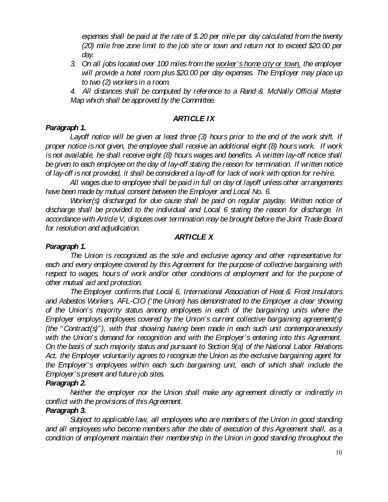*expenses shall be paid at the rate of \$.20 per mile per day calculated from the twenty (20) mile free zone limit to the job site or town and return not to exceed \$20.00 per day.*

*3. On all jobs located over 100 miles from the worker's home city or town, the employer will provide a hotel room plus \$20.00 per day expenses. The Employer may place up to two (2) workers in a room.*

*4. All distances shall be computed by reference to a Rand & McNally Official Master Map which shall be approved by the Committee.*

## *ARTICLE IX*

## *Paragraph 1.*

*Layoff notice will be given at least three (3) hours prior to the end of the work shift. If proper notice is not given, the employee shall receive an additional eight (8) hours work. If work is not available, he shall receive eight (8) hours wages and benefits. A written lay-off notice shall be given to each employee on the day of lay-off stating the reason for termination. If written notice of lay-off is not provided, it shall be considered a lay-off for lack of work with option for re-hire.*

*All wages due to employee shall be paid in full on day of layoff unless other arrangements have been made by mutual consent between the Employer and Local No. 6.* 

*Worker(s) discharged for due cause shall be paid on regular payday. Written notice of discharge shall be provided to the individual and Local 6 stating the reason for discharge. In accordance with Article V, disputes over termination may be brought before the Joint Trade Board for resolution and adjudication.*

## *ARTICLE X*

#### *Paragraph 1.*

*The Union is recognized as the sole and exclusive agency and other representative for each and every employee covered by this Agreement for the purpose of collective bargaining with respect to wages, hours of work and/or other conditions of employment and for the purpose of other mutual aid and protection.*

*The Employer confirms that Local 6, International Association of Heat & Frost Insulators and Asbestos Workers, AFL-CIO ('the Union) has demonstrated to the Employer a clear showing of the Union's majority status among employees in each of the bargaining units where the Employer employs employees covered by the Union's current collective bargaining agreement(s) (the " Contract(s)" ), with that showing having been made in each such unit contemporaneously*  with the Union's demand for recognition and with the Employer's entering into this Agreement. *On the basis of such majority status and pursuant to Section 9(a) of the National Labor Relations Act, the Employer voluntarily agrees to recognize the Union as the exclusive bargaining agent for the Employer's employees within each such bargaining unit, each of which shall include the Employer's present and future job sites.*

## *Paragraph 2.*

*Neither the employer nor the Union shall make any agreement directly or indirectly in conflict with the provisions of this Agreement.*

## *Paragraph 3.*

*Subject to applicable law, all employees who are members of the Union in good standing and all employees who become members after the date of execution of this Agreement shall, as a condition of employment maintain their membership in the Union in good standing throughout the*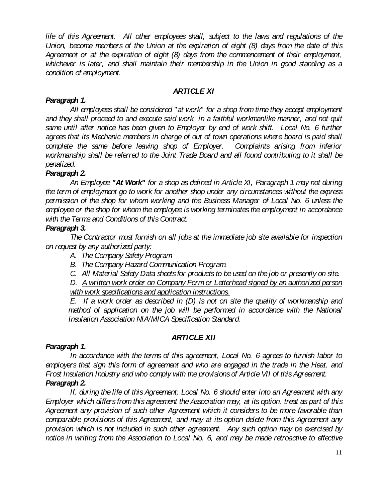*life of this Agreement. All other employees shall, subject to the laws and regulations of the Union, become members of the Union at the expiration of eight (8) days from the date of this Agreement or at the expiration of eight (8) days from the commencement of their employment, whichever is later, and shall maintain their membership in the Union in good standing as a condition of employment.*

## *ARTICLE XI*

## *Paragraph 1.*

*All employees shall be considered "at work" for a shop from time they accept employment and they shall proceed to and execute said work, in a faithful workmanlike manner, and not quit*  same until after notice has been given to Employer by end of work shift. Local No. 6 further *agrees that its Mechanic members in charge of out of town operations where board is paid shall*  complete the same before leaving shop of Employer. Complaints arising from inferior *workmanship shall be referred to the Joint Trade Board and all found contributing to it shall be penalized.*

## *Paragraph 2.*

*An Employee "At Work" for a shop as defined in Article XI, Paragraph 1 may not during the term of employment go to work for another shop under any circumstances without the express permission of the shop for whom working and the Business Manager of Local No. 6 unless the employee or the shop for whom the employee is working terminates the employment in accordance with the Terms and Conditions of this Contract.*

## *Paragraph 3.*

*The Contractor must furnish on all jobs at the immediate job site available for inspection on request by any authorized party:*

- *A. The Company Safety Program*
- *B. The Company Hazard Communication Program.*
- *C. All Material Safety Data sheets for products to be used on the job or presently on site.*

*D. A written work order on Company Form or Letterhead signed by an authorized person with work specifications and application instructions.*

*E. If a work order as described in (D) is not on site the quality of workmanship and*  method of application on the job will be performed in accordance with the National *Insulation Association NIA/MICA Specification Standard.*

## *ARTICLE XII*

## *Paragraph 1.*

*In accordance with the terms of this agreement, Local No. 6 agrees to furnish labor to employers that sign this form of agreement and who are engaged in the trade in the Heat, and Frost Insulation Industry and who comply with the provisions of Article VII of this Agreement. Paragraph 2.*

*If, during the life of this Agreement; Local No. 6 should enter into an Agreement with any Employer which differs from this agreement the Association may, at its option, treat as part of this Agreement any provision of such other Agreement which it considers to be more favorable than comparable provisions of this Agreement, and may at its option delete from this Agreement any provision which is not included in such other agreement. Any such option may be exercised by notice in writing from the Association to Local No. 6, and may be made retroactive to effective*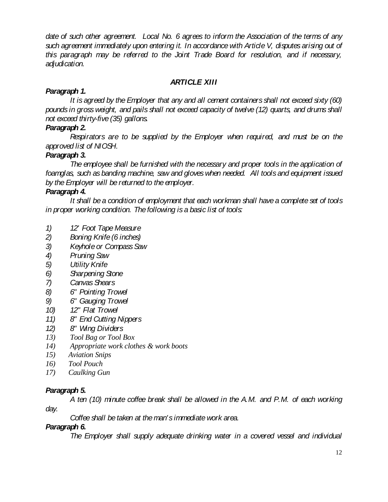*date of such other agreement. Local No. 6 agrees to inform the Association of the terms of any such agreement immediately upon entering it. In accordance with Article V, disputes arising out of this paragraph may be referred to the Joint Trade Board for resolution, and if necessary, adjudication.*

## *ARTICLE XIII*

## *Paragraph 1.*

*It is agreed by the Employer that any and all cement containers shall not exceed sixty (60) pounds in gross weight, and pails shall not exceed capacity of twelve (12) quarts, and drums shall not exceed thirty-five (35) gallons.*

## *Paragraph 2.*

*Respirators are to be supplied by the Employer when required, and must be on the approved list of NIOSH.*

## *Paragraph 3.*

*The employee shall be furnished with the necessary and proper tools in the application of foamglas, such as banding machine, saw and gloves when needed. All tools and equipment issued by the Employer will be returned to the employer.*

## *Paragraph 4.*

*It shall be a condition of employment that each workman shall have a complete set of tools in proper working condition. The following is a basic list of tools:*

- *1) 12' Foot Tape Measure*
- *2) Boning Knife (6 inches)*
- *3) Keyhole or Compass Saw*
- *4) Pruning Saw*
- *5) Utility Knife*
- *6) Sharpening Stone*
- *7) Canvas Shears*
- *8) 6" Pointing Trowel*
- *9) 6" Gauging Trowel*
- *10) 12" Flat Trowel*
- *11) 8" End Cutting Nippers*
- *12) 8" Wing Dividers*
- *13) Tool Bag or Tool Box*
- *14) Appropriate work clothes & work boots*
- *15) Aviation Snips*
- *16) Tool Pouch*
- *17) Caulking Gun*

## *Paragraph 5.*

*A ten (10) minute coffee break shall be allowed in the A.M. and P.M. of each working* 

*day.*

*Coffee shall be taken at the man's immediate work area.*

## *Paragraph 6.*

*The Employer shall supply adequate drinking water in a covered vessel and individual*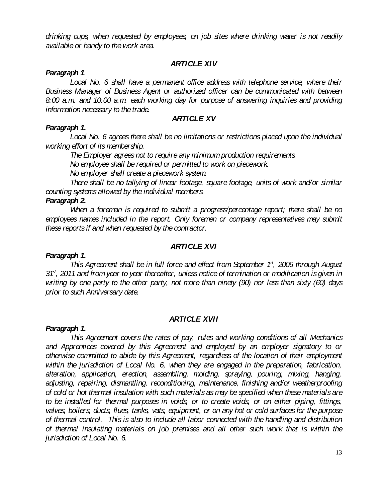*drinking cups, when requested by employees, on job sites where drinking water is not readily available or handy to the work area.*

### *ARTICLE XIV*

#### *Paragraph 1.*

*Local No. 6 shall have a permanent office address with telephone service, where their Business Manager of Business Agent or authorized officer can be communicated with between 8:00 a.m. and 10:00 a.m. each working day for purpose of answering inquiries and providing information necessary to the trade.*

### *ARTICLE XV*

#### *Paragraph 1.*

*Local No. 6 agrees there shall be no limitations or restrictions placed upon the individual working effort of its membership.*

*The Employer agrees not to require any minimum production requirements.*

*No employee shall be required or permitted to work on piecework.*

*No employer shall create a piecework system.*

*There shall be no tallying of linear footage, square footage, units of work and/or similar counting systems allowed by the individual members.*

#### *Paragraph 2.*

*When a foreman is required to submit a progress/percentage report; there shall be no*  employees names included in the report. Only foremen or company representatives may submit *these reports if and when requested by the contractor.*

#### *ARTICLE XVI*

## *Paragraph 1.*

*This Agreement shall be in full force and effect from September 1<sup>st</sup>, 2006 through August* 31<sup>st</sup>, 2011 and from year to year thereafter, unless notice of termination or modification is given in *writing by one party to the other party, not more than ninety (90) nor less than sixty (60) days prior to such Anniversary date.*

## *ARTICLE XVII*

#### *Paragraph 1.*

*This Agreement covers the rates of pay, rules and working conditions of all Mechanics and Apprentices covered by this Agreement and employed by an employer signatory to or otherwise committed to abide by this Agreement, regardless of the location of their employment*  within the jurisdiction of Local No. 6, when they are engaged in the preparation, fabrication, *alteration, application, erection, assembling, molding, spraying, pouring, mixing, hanging, adjusting, repairing, dismantling, reconditioning, maintenance, finishing and/or weatherproofing of cold or hot thermal insulation with such materials as may be specified when these materials are to be installed for thermal purposes in voids, or to create voids, or on either piping, fittings, valves, boilers, ducts, flues, tanks, vats, equipment, or on any hot or cold surfaces for the purpose of thermal control. This is also to include all labor connected with the handling and distribution of thermal insulating materials on job premises and all other such work that is within the jurisdiction of Local No. 6.*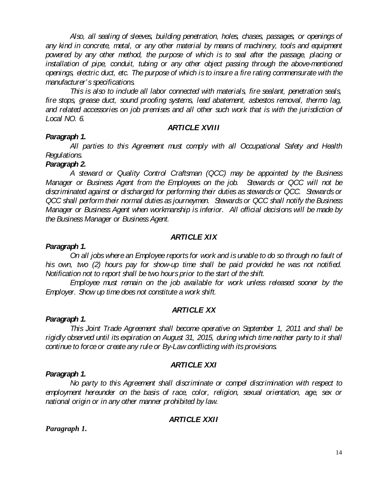*Also, all sealing of sleeves, building penetration, holes, chases, passages, or openings of any kind in concrete, metal, or any other material by means of machinery, tools and equipment powered by any other method, the purpose of which is to seal after the passage, placing or*  installation of pipe, conduit, tubing or any other object passing through the above-mentioned *openings, electric duct, etc. The purpose of which is to insure a fire rating commensurate with the manufacturer's specifications.*

*This is also to include all labor connected with materials, fire sealant, penetration seals, fire stops, grease duct, sound proofing systems, lead abatement, asbestos removal, thermo lag, and related accessories on job premises and all other such work that is with the jurisdiction of Local NO. 6.*

#### *ARTICLE XVIII*

#### *Paragraph 1.*

*All parties to this Agreement must comply with all Occupational Safety and Health Regulations.*

#### *Paragraph 2.*

*A steward or Quality Control Craftsman (QCC) may be appointed by the Business Manager or Business Agent from the Employees on the job. Stewards or QCC will not be discriminated against or discharged for performing their duties as stewards or QCC. Stewards or QCC shall perform their normal duties as journeymen. Stewards or QCC shall notify the Business Manager or Business Agent when workmanship is inferior. All official decisions will be made by the Business Manager or Business Agent.*

#### *ARTICLE XIX*

#### *Paragraph 1.*

*On all jobs where an Employee reports for work and is unable to do so through no fault of his own, two (2) hours pay for show-up time shall be paid provided he was not notified. Notification not to report shall be two hours prior to the start of the shift.*

*Employee must remain on the job available for work unless released sooner by the Employer. Show up time does not constitute a work shift.*

#### *ARTICLE XX*

#### *Paragraph 1.*

*This Joint Trade Agreement shall become operative on September 1, 2011 and shall be rigidly observed until its expiration on August 31, 2015, during which time neither party to it shall continue to force or create any rule or By-Law conflicting with its provisions.*

#### *ARTICLE XXI*

#### *Paragraph 1.*

*No party to this Agreement shall discriminate or compel discrimination with respect to employment hereunder on the basis of race, color, religion, sexual orientation, age, sex or national origin or in any other manner prohibited by law.* 

#### *ARTICLE XXII*

*Paragraph 1.*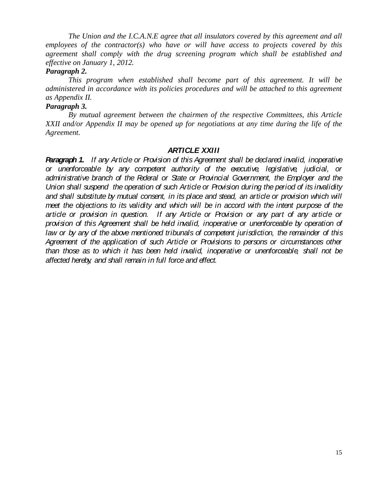*The Union and the I.C.A.N.E agree that all insulators covered by this agreement and all employees of the contractor(s) who have or will have access to projects covered by this agreement shall comply with the drug screening program which shall be established and effective on January 1, 2012.*

#### *Paragraph 2.*

*This program when established shall become part of this agreement. It will be administered in accordance with its policies procedures and will be attached to this agreement as Appendix II.*

#### *Paragraph 3.*

*By mutual agreement between the chairmen of the respective Committees, this Article XXII and/or Appendix II may be opened up for negotiations at any time during the life of the Agreement.* 

#### *ARTICLE XXIII*

*Paragraph 1. If any Article or Provision of this Agreement shall be declared invalid, inoperative or unenforceable by any competent authority of the executive, legislative, judicial, or administrative branch of the Federal or State or Provincial Government, the Employer and the Union shall suspend the operation of such Article or Provision during the period of its invalidity*  and shall substitute by mutual consent, in its place and stead, an article or provision which will *meet the objections to its validity and which will be in accord with the intent purpose of the article or provision in question. If any Article or Provision or any part of any article or provision of this Agreement shall be held invalid, inoperative or unenforceable by operation of law or by any of the above mentioned tribunals of competent jurisdiction, the remainder of this*  Agreement of the application of such Article or Provisions to persons or circumstances other *than those as to which it has been held invalid, inoperative or unenforceable, shall not be affected hereby, and shall remain in full force and effect.*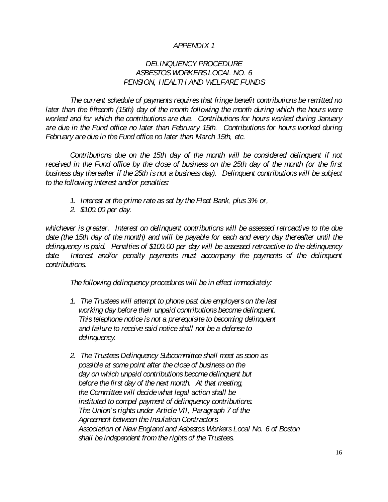## *APPENDIX 1*

## *DELINQUENCY PROCEDURE ASBESTOS WORKERS LOCAL NO. 6 PENSION, HEALTH AND WELFARE FUNDS*

*The current schedule of payments requires that fringe benefit contributions be remitted no later than the fifteenth (15th) day of the month following the month during which the hours were worked and for which the contributions are due. Contributions for hours worked during January are due in the Fund office no later than February 15th. Contributions for hours worked during February are due in the Fund office no later than March 15th, etc.*

*Contributions due on the 15th day of the month will be considered delinquent if not received in the Fund office by the close of business on the 25th day of the month (or the first business day thereafter if the 25th is not a business day). Delinquent contributions will be subject to the following interest and/or penalties:*

- *1. Interest at the prime rate as set by the Fleet Bank, plus 3% or,*
- *2. \$100.00 per day.*

*whichever is greater. Interest on delinquent contributions will be assessed retroactive to the due date (the 15th day of the month) and will be payable for each and every day thereafter until the delinquency is paid. Penalties of \$100.00 per day will be assessed retroactive to the delinquency*  date. Interest and/or penalty payments must accompany the payments of the delinguent *contributions.*

*The following delinquency procedures will be in effect immediately:*

- *1. The Trustees will attempt to phone past due employers on the last working day before their unpaid contributions become delinquent. This telephone notice is not a prerequisite to becoming delinquent and failure to receive said notice shall not be a defense to delinquency.*
- *2. The Trustees Delinquency Subcommittee shall meet as soon as possible at some point after the close of business on the day on which unpaid contributions become delinquent but before the first day of the next month. At that meeting, the Committee will decide what legal action shall be instituted to compel payment of delinquency contributions. The Union' s rights under Article VII, Paragraph 7 of the Agreement between the Insulation Contractors Association of New England and Asbestos Workers Local No. 6 of Boston shall be independent from the rights of the Trustees.*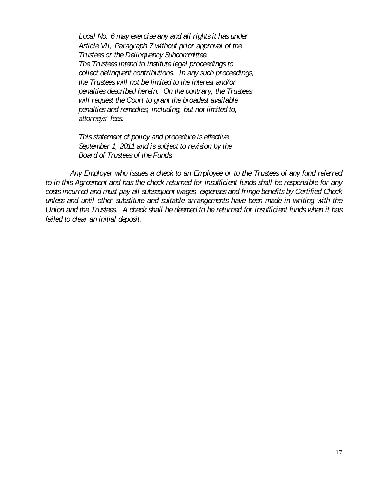*Local No. 6 may exercise any and all rights it has under Article VII, Paragraph 7 without prior approval of the Trustees or the Delinquency Subcommittee. The Trustees intend to institute legal proceedings to collect delinquent contributions. In any such proceedings, the Trustees will not be limited to the interest and/or penalties described herein. On the contrary, the Trustees will request the Court to grant the broadest available penalties and remedies, including, but not limited to, attorneys' fees.*

 *This statement of policy and procedure is effective September 1, 2011 and is subject to revision by the Board of Trustees of the Funds.*

*Any Employer who issues a check to an Employee or to the Trustees of any fund referred to in this Agreement and has the check returned for insufficient funds shall be responsible for any costs incurred and must pay all subsequent wages, expenses and fringe benefits by Certified Check unless and until other substitute and suitable arrangements have been made in writing with the Union and the Trustees. A check shall be deemed to be returned for insufficient funds when it has failed to clear an initial deposit.*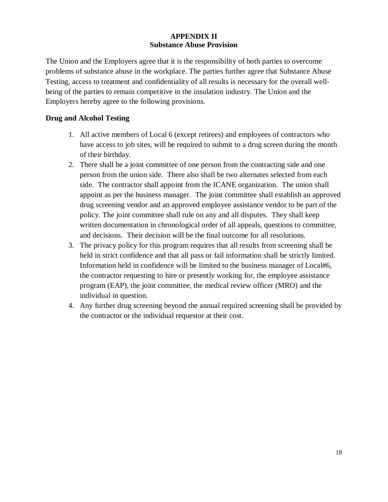### **APPENDIX II Substance Abuse Provision**

The Union and the Employers agree that it is the responsibility of both parties to overcome problems of substance abuse in the workplace. The parties further agree that Substance Abuse Testing, access to treatment and confidentiality of all results is necessary for the overall wellbeing of the parties to remain competitive in the insulation industry. The Union and the Employers hereby agree to the following provisions.

## **Drug and Alcohol Testing**

- 1. All active members of Local 6 (except retirees) and employees of contractors who have access to job sites, will be required to submit to a drug screen during the month of their birthday.
- 2. There shall be a joint committee of one person from the contracting side and one person from the union side. There also shall be two alternates selected from each side. The contractor shall appoint from the ICANE organization. The union shall appoint as per the business manager. The joint committee shall establish an approved drug screening vendor and an approved employee assistance vendor to be part of the policy. The joint committee shall rule on any and all disputes. They shall keep written documentation in chronological order of all appeals, questions to committee, and decisions. Their decision will be the final outcome for all resolutions.
- 3. The privacy policy for this program requires that all results from screening shall be held in strict confidence and that all pass or fail information shall be strictly limited. Information held in confidence will be limited to the business manager of Local#6, the contractor requesting to hire or presently working for, the employee assistance program (EAP), the joint committee, the medical review officer (MRO) and the individual in question.
- 4. Any further drug screening beyond the annual required screening shall be provided by the contractor or the individual requestor at their cost.